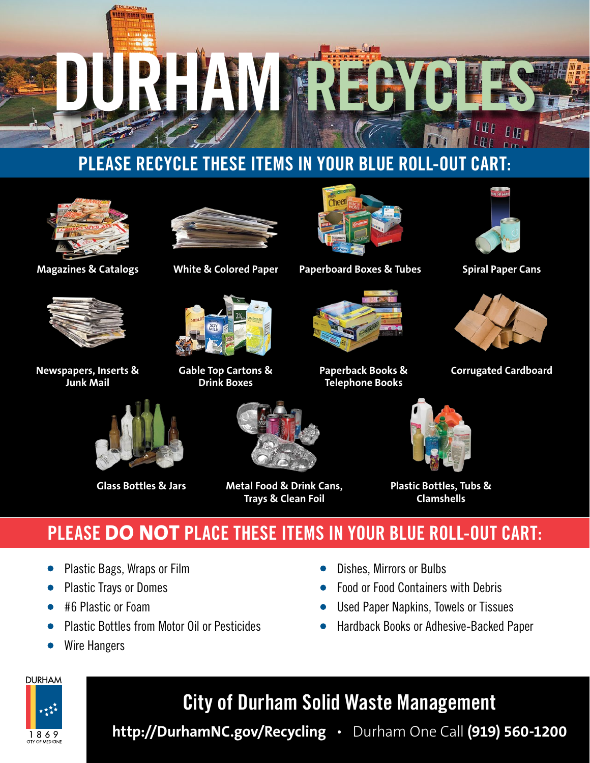

## **PLEASE RECYCLE THESE ITEMS IN YOUR BLUE ROLL-OUT CART:**



194 100001 1256

**Magazines & Catalogs**



**Newspapers, Inserts & Junk Mail**



**White & Colored Paper**

**Gable Top Cartons & Drink Boxes**



**Paperboard Boxes & Tubes**



**Paperback Books & Telephone Books**



**Spiral Paper Cans**



**Corrugated Cardboard**



**Glass Bottles & Jars**



**Metal Food & Drink Cans, Trays & Clean Foil**



**Plastic Bottles, Tubs & Clamshells**

# **PLEASE DO NOT PLACE THESE ITEMS IN YOUR BLUE ROLL-OUT CART:**

- Plastic Bags, Wraps or Film
- Plastic Trays or Domes
- #6 Plastic or Foam
- Plastic Bottles from Motor Oil or Pesticides
- Wire Hangers



- Food or Food Containers with Debris
- Used Paper Napkins, Towels or Tissues
- Hardback Books or Adhesive-Backed Paper



# **City of Durham Solid Waste Management**

**http://DurhamNC.gov/Recycling** • Durham One Call **(919) 560-1200**